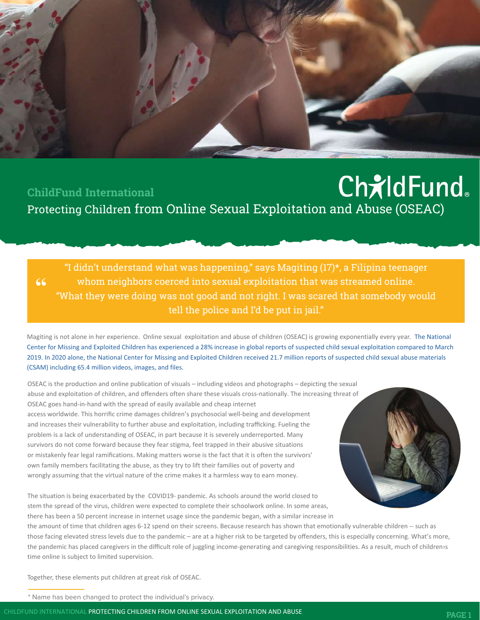## **ChildFund** ChildFund International Protecting Children from Online Sexual Exploitation and Abuse (OSEAC)

"I didn't understand what was happening," says Magiting (17)\*, a Filipina teenager whom neighbors coerced into sexual exploitation that was streamed online. "What they were doing was not good and not right. I was scared that somebody would tell the police and I'd be put in jail."

Magiting is not alone in her experience. Online sexual exploitation and abuse of children (OSEAC) is growing exponentially every year. The National Center for Missing and Exploited Children has experienced a 28% increase in global reports of suspected child sexual exploitation compared to March 2019. In 2020 alone, the National Center for Missing and Exploited Children received 21.7 million reports of suspected child sexual abuse materials (CSAM) including 65.4 million videos, images, and files.

OSEAC is the production and online publication of visuals – including videos and photographs – depicting the sexual abuse and exploitation of children, and offenders often share these visuals cross-nationally. The increasing threat of OSEAC goes hand-in-hand with the spread of easily available and cheap internet access worldwide. This horrific crime damages children's psychosocial well-being and development and increases their vulnerability to further abuse and exploitation, including trafficking. Fueling the problem is a lack of understanding of OSEAC, in part because it is severely underreported. Many survivors do not come forward because they fear stigma, feel trapped in their abusive situations or mistakenly fear legal ramifications. Making matters worse is the fact that it is often the survivors' own family members facilitating the abuse, as they try to lift their families out of poverty and wrongly assuming that the virtual nature of the crime makes it a harmless way to earn money.

The situation is being exacerbated by the COVID19- pandemic. As schools around the world closed to stem the spread of the virus, children were expected to complete their schoolwork online. In some areas, there has been a 50 percent increase in internet usage since the pandemic began, with a similar increase in

the amount of time that children ages 6-12 spend on their screens. Because research has shown that emotionally vulnerable children -- such as those facing elevated stress levels due to the pandemic – are at a higher risk to be targeted by offenders, this is especially concerning. What's more, the pandemic has placed caregivers in the difficult role of juggling income-generating and caregiving responsibilities. As a result, much of children›s time online is subject to limited supervision.

Together, these elements put children at great risk of OSEAC.

"

\* Name has been changed to protect the individual's privacy.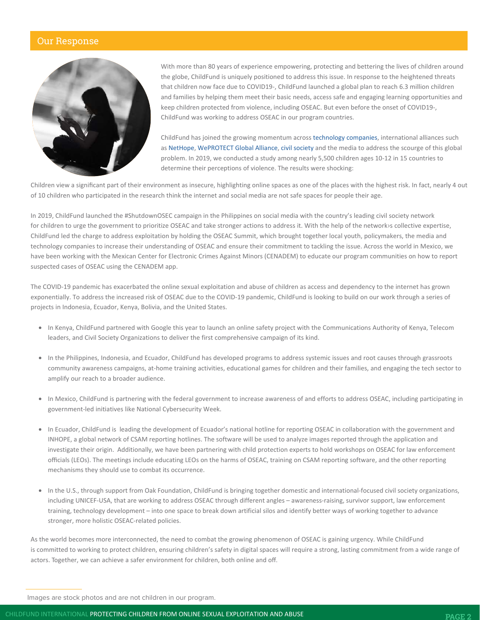#### Our Response



With more than 80 years of experience empowering, protecting and bettering the lives of children around the globe, ChildFund is uniquely positioned to address this issue. In response to the heightened threats that children now face due to COVID19-, ChildFund launched a global plan to reach 6.3 million children and families by helping them meet their basic needs, access safe and engaging learning opportunities and keep children protected from violence, including OSEAC. But even before the onset of COVID19-, ChildFund was working to address OSEAC in our program countries.

ChildFund has joined the growing momentum across technology companies, international alliances such as NetHope, WePROTECT Global Alliance, civil society and the media to address the scourge of this global problem. In 2019, we conducted a study among nearly 5,500 children ages 10-12 in 15 countries to determine their perceptions of violence. The results were shocking:

Children view a significant part of their environment as insecure, highlighting online spaces as one of the places with the highest risk. In fact, nearly 4 out of 10 children who participated in the research think the internet and social media are not safe spaces for people their age.

In 2019, ChildFund launched the #ShutdownOSEC campaign in the Philippines on social media with the country's leading civil society network for children to urge the government to prioritize OSEAC and take stronger actions to address it. With the help of the network›s collective expertise, ChildFund led the charge to address exploitation by holding the OSEAC Summit, which brought together local youth, policymakers, the media and technology companies to increase their understanding of OSEAC and ensure their commitment to tackling the issue. Across the world in Mexico, we have been working with the Mexican Center for Electronic Crimes Against Minors (CENADEM) to educate our program communities on how to report suspected cases of OSEAC using the CENADEM app.

The COVID-19 pandemic has exacerbated the online sexual exploitation and abuse of children as access and dependency to the internet has grown exponentially. To address the increased risk of OSEAC due to the COVID-19 pandemic, ChildFund is looking to build on our work through a series of projects in Indonesia, Ecuador, Kenya, Bolivia, and the United States.

- In Kenya, ChildFund partnered with Google this year to launch an online safety project with the Communications Authority of Kenya, Telecom leaders, and Civil Society Organizations to deliver the first comprehensive campaign of its kind.
- In the Philippines, Indonesia, and Ecuador, ChildFund has developed programs to address systemic issues and root causes through grassroots community awareness campaigns, at-home training activities, educational games for children and their families, and engaging the tech sector to amplify our reach to a broader audience.
- In Mexico, ChildFund is partnering with the federal government to increase awareness of and efforts to address OSEAC, including participating in government-led initiatives like National Cybersecurity Week.
- In Ecuador, ChildFund is leading the development of Ecuador's national hotline for reporting OSEAC in collaboration with the government and INHOPE, a global network of CSAM reporting hotlines. The software will be used to analyze images reported through the application and investigate their origin. Additionally, we have been partnering with child protection experts to hold workshops on OSEAC for law enforcement officials (LEOs). The meetings include educating LEOs on the harms of OSEAC, training on CSAM reporting software, and the other reporting mechanisms they should use to combat its occurrence.
- In the U.S., through support from Oak Foundation, ChildFund is bringing together domestic and international-focused civil society organizations, including UNICEF-USA, that are working to address OSEAC through different angles – awareness-raising, survivor support, law enforcement training, technology development – into one space to break down artificial silos and identify better ways of working together to advance stronger, more holistic OSEAC-related policies.

As the world becomes more interconnected, the need to combat the growing phenomenon of OSEAC is gaining urgency. While ChildFund is committed to working to protect children, ensuring children's safety in digital spaces will require a strong, lasting commitment from a wide range of actors. Together, we can achieve a safer environment for children, both online and off.

Images are stock photos and are not children in our program.